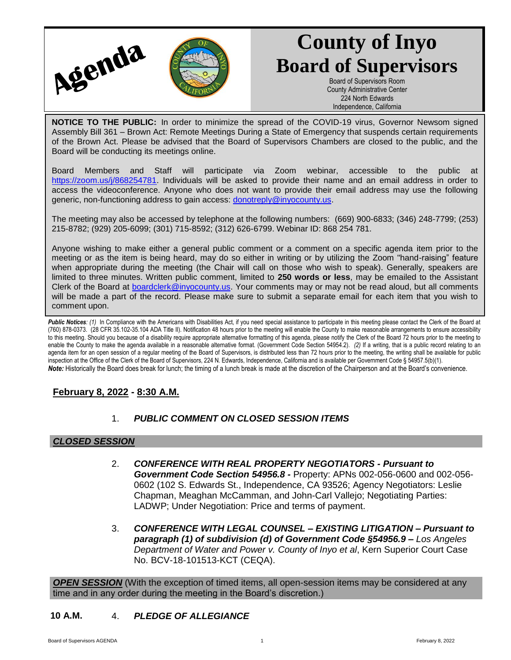

# **County of Inyo Board of Supervisors**

Board of Supervisors Room County Administrative Center 224 North Edwards Independence, California

**NOTICE TO THE PUBLIC:** In order to minimize the spread of the COVID-19 virus, Governor Newsom signed Assembly Bill 361 – Brown Act: Remote Meetings During a State of Emergency that suspends certain requirements of the Brown Act. Please be advised that the Board of Supervisors Chambers are closed to the public, and the Board will be conducting its meetings online.

Board Members and Staff will participate via Zoom webinar, accessible to the public at [https://zoom.us/j/868254781.](https://zoom.us/j/868254781) Individuals will be asked to provide their name and an email address in order to access the videoconference. Anyone who does not want to provide their email address may use the following generic, non-functioning address to gain access: [donotreply@inyocounty.us.](mailto:donotreply@inyocounty.us)

The meeting may also be accessed by telephone at the following numbers: (669) 900-6833; (346) 248-7799; (253) 215-8782; (929) 205-6099; (301) 715-8592; (312) 626-6799. Webinar ID: 868 254 781.

Anyone wishing to make either a general public comment or a comment on a specific agenda item prior to the meeting or as the item is being heard, may do so either in writing or by utilizing the Zoom "hand-raising" feature when appropriate during the meeting (the Chair will call on those who wish to speak). Generally, speakers are limited to three minutes. Written public comment, limited to **250 words or less**, may be emailed to the Assistant Clerk of the Board at [boardclerk@inyocounty.us.](mailto:boardclerk@inyocounty.us) Your comments may or may not be read aloud, but all comments will be made a part of the record. Please make sure to submit a separate email for each item that you wish to comment upon.

Public Notices: (1) In Compliance with the Americans with Disabilities Act, if you need special assistance to participate in this meeting please contact the Clerk of the Board at (760) 878-0373. (28 CFR 35.102-35.104 ADA Title II). Notification 48 hours prior to the meeting will enable the County to make reasonable arrangements to ensure accessibility to this meeting. Should you because of a disability require appropriate alternative formatting of this agenda, please notify the Clerk of the Board 72 hours prior to the meeting to enable the County to make the agenda available in a reasonable alternative format. (Government Code Section 54954.2). *(2)* If a writing, that is a public record relating to an agenda item for an open session of a regular meeting of the Board of Supervisors, is distributed less than 72 hours prior to the meeting, the writing shall be available for public inspection at the Office of the Clerk of the Board of Supervisors, 224 N. Edwards, Independence, California and is available per Government Code § 54957.5(b)(1). *Note:* Historically the Board does break for lunch; the timing of a lunch break is made at the discretion of the Chairperson and at the Board's convenience.

# **February 8, 2022 - 8:30 A.M.**

# 1. *PUBLIC COMMENT ON CLOSED SESSION ITEMS*

#### *CLOSED SESSION*

- 2. *CONFERENCE WITH REAL PROPERTY NEGOTIATORS - Pursuant to Government Code Section 54956.8 -* Property: APNs 002-056-0600 and 002-056- 0602 (102 S. Edwards St., Independence, CA 93526; Agency Negotiators: Leslie Chapman, Meaghan McCamman, and John-Carl Vallejo; Negotiating Parties: LADWP; Under Negotiation: Price and terms of payment.
- 3. *CONFERENCE WITH LEGAL COUNSEL – EXISTING LITIGATION – Pursuant to paragraph (1) of subdivision (d) of Government Code §54956.9 – Los Angeles Department of Water and Power v. County of Inyo et al*, Kern Superior Court Case No. BCV-18-101513-KCT (CEQA).

*OPEN SESSION* (With the exception of timed items, all open-session items may be considered at any time and in any order during the meeting in the Board's discretion.)

## **10 A.M.** 4. *PLEDGE OF ALLEGIANCE*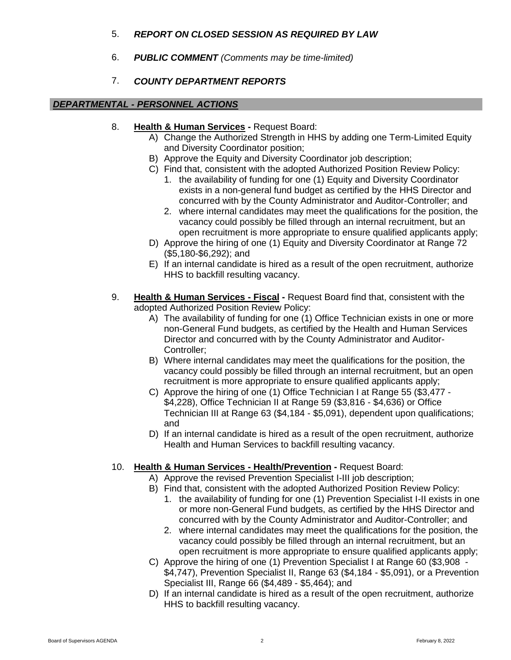## 5. *REPORT ON CLOSED SESSION AS REQUIRED BY LAW*

6. *PUBLIC COMMENT (Comments may be time-limited)*

## 7. *COUNTY DEPARTMENT REPORTS*

#### *DEPARTMENTAL - PERSONNEL ACTIONS*

- 8. **Health & Human Services -** Request Board:
	- A) Change the Authorized Strength in HHS by adding one Term-Limited Equity and Diversity Coordinator position;
	- B) Approve the Equity and Diversity Coordinator job description;
	- C) Find that, consistent with the adopted Authorized Position Review Policy:
		- 1. the availability of funding for one (1) Equity and Diversity Coordinator exists in a non-general fund budget as certified by the HHS Director and concurred with by the County Administrator and Auditor-Controller; and
		- 2. where internal candidates may meet the qualifications for the position, the vacancy could possibly be filled through an internal recruitment, but an open recruitment is more appropriate to ensure qualified applicants apply;
	- D) Approve the hiring of one (1) Equity and Diversity Coordinator at Range 72 (\$5,180-\$6,292); and
	- E) If an internal candidate is hired as a result of the open recruitment, authorize HHS to backfill resulting vacancy.
- 9. **Health & Human Services - Fiscal -** Request Board find that, consistent with the adopted Authorized Position Review Policy:
	- A) The availability of funding for one (1) Office Technician exists in one or more non-General Fund budgets, as certified by the Health and Human Services Director and concurred with by the County Administrator and Auditor-Controller;
	- B) Where internal candidates may meet the qualifications for the position, the vacancy could possibly be filled through an internal recruitment, but an open recruitment is more appropriate to ensure qualified applicants apply;
	- C) Approve the hiring of one (1) Office Technician I at Range 55 (\$3,477 \$4,228), Office Technician II at Range 59 (\$3,816 - \$4,636) or Office Technician III at Range 63 (\$4,184 - \$5,091), dependent upon qualifications; and
	- D) If an internal candidate is hired as a result of the open recruitment, authorize Health and Human Services to backfill resulting vacancy.

## 10. **Health & Human Services - Health/Prevention -** Request Board:

- A) Approve the revised Prevention Specialist I-III job description;
- B) Find that, consistent with the adopted Authorized Position Review Policy:
	- 1. the availability of funding for one (1) Prevention Specialist I-II exists in one or more non-General Fund budgets, as certified by the HHS Director and concurred with by the County Administrator and Auditor-Controller; and
	- 2. where internal candidates may meet the qualifications for the position, the vacancy could possibly be filled through an internal recruitment, but an open recruitment is more appropriate to ensure qualified applicants apply;
- C) Approve the hiring of one (1) Prevention Specialist I at Range 60 (\$3,908 \$4,747), Prevention Specialist II, Range 63 (\$4,184 - \$5,091), or a Prevention Specialist III, Range 66 (\$4,489 - \$5,464); and
- D) If an internal candidate is hired as a result of the open recruitment, authorize HHS to backfill resulting vacancy.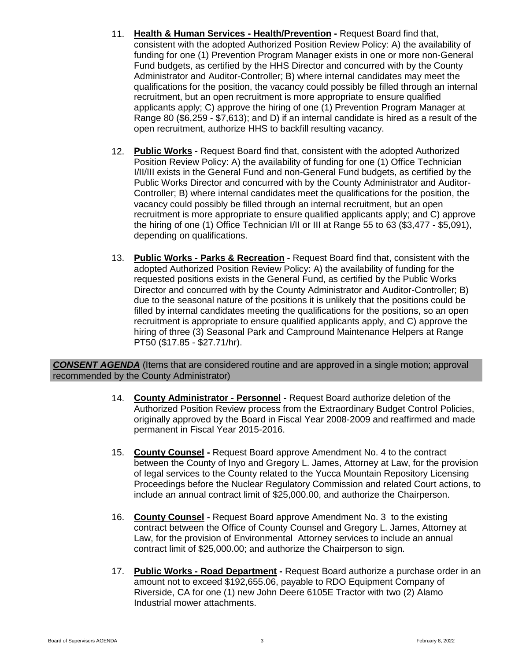- 11. **Health & Human Services - Health/Prevention -** Request Board find that, consistent with the adopted Authorized Position Review Policy: A) the availability of funding for one (1) Prevention Program Manager exists in one or more non-General Fund budgets, as certified by the HHS Director and concurred with by the County Administrator and Auditor-Controller; B) where internal candidates may meet the qualifications for the position, the vacancy could possibly be filled through an internal recruitment, but an open recruitment is more appropriate to ensure qualified applicants apply; C) approve the hiring of one (1) Prevention Program Manager at Range 80 (\$6,259 - \$7,613); and D) if an internal candidate is hired as a result of the open recruitment, authorize HHS to backfill resulting vacancy.
- 12. **Public Works -** Request Board find that, consistent with the adopted Authorized Position Review Policy: A) the availability of funding for one (1) Office Technician I/II/III exists in the General Fund and non-General Fund budgets, as certified by the Public Works Director and concurred with by the County Administrator and Auditor-Controller; B) where internal candidates meet the qualifications for the position, the vacancy could possibly be filled through an internal recruitment, but an open recruitment is more appropriate to ensure qualified applicants apply; and C) approve the hiring of one (1) Office Technician I/II or III at Range 55 to 63 (\$3,477 - \$5,091), depending on qualifications.
- 13. **Public Works - Parks & Recreation -** Request Board find that, consistent with the adopted Authorized Position Review Policy: A) the availability of funding for the requested positions exists in the General Fund, as certified by the Public Works Director and concurred with by the County Administrator and Auditor-Controller; B) due to the seasonal nature of the positions it is unlikely that the positions could be filled by internal candidates meeting the qualifications for the positions, so an open recruitment is appropriate to ensure qualified applicants apply, and C) approve the hiring of three (3) Seasonal Park and Campround Maintenance Helpers at Range PT50 (\$17.85 - \$27.71/hr).

*CONSENT AGENDA* (Items that are considered routine and are approved in a single motion; approval recommended by the County Administrator)

- 14. **County Administrator - Personnel -** Request Board authorize deletion of the Authorized Position Review process from the Extraordinary Budget Control Policies, originally approved by the Board in Fiscal Year 2008-2009 and reaffirmed and made permanent in Fiscal Year 2015-2016.
- 15. **County Counsel -** Request Board approve Amendment No. 4 to the contract between the County of Inyo and Gregory L. James, Attorney at Law, for the provision of legal services to the County related to the Yucca Mountain Repository Licensing Proceedings before the Nuclear Regulatory Commission and related Court actions, to include an annual contract limit of \$25,000.00, and authorize the Chairperson.
- 16. **County Counsel -** Request Board approve Amendment No. 3 to the existing contract between the Office of County Counsel and Gregory L. James, Attorney at Law, for the provision of Environmental Attorney services to include an annual contract limit of \$25,000.00; and authorize the Chairperson to sign.
- 17. **Public Works - Road Department -** Request Board authorize a purchase order in an amount not to exceed \$192,655.06, payable to RDO Equipment Company of Riverside, CA for one (1) new John Deere 6105E Tractor with two (2) Alamo Industrial mower attachments.